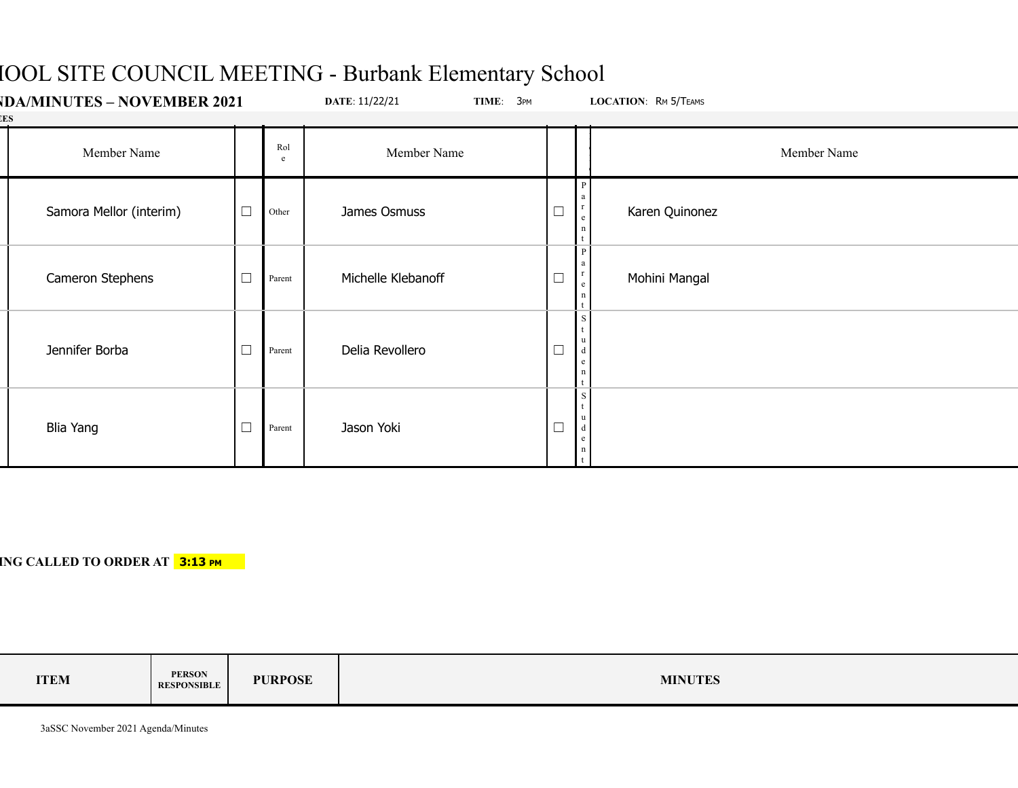# HOOL SITE COUNCIL MEETING - Burbank Elementary School

| <b>IDA/MINUTES – NOVEMBER 2021</b><br>ESS |                         |        | DATE: 11/22/21<br>TIME: 3PM |                    | LOCATION: RM 5/TEAMS |                           |
|-------------------------------------------|-------------------------|--------|-----------------------------|--------------------|----------------------|---------------------------|
|                                           | Member Name             |        | Rol<br>e                    | Member Name        |                      | Member Name               |
|                                           | Samora Mellor (interim) | $\Box$ | Other                       | James Osmuss       | $\Box$               | Karen Quinonez<br>$\rm e$ |
|                                           | Cameron Stephens        | $\Box$ | Parent                      | Michelle Klebanoff | $\Box$               | Mohini Mangal<br>e        |
|                                           | Jennifer Borba          | $\Box$ | Parent                      | Delia Revollero    | $\Box$               | $\frac{u}{d}$<br>e        |
|                                           | <b>Blia Yang</b>        | $\Box$ | Parent                      | Jason Yoki         | $\Box$               | $\mathbf d$<br>e          |

### **ING CALLED TO ORDER AT 3:13 PM**

| <b>ITEM</b> | <b>PERSON</b><br><b>RESPONSIBLE</b> | <b>PURPOSE</b> | <b>MINUTES</b> |
|-------------|-------------------------------------|----------------|----------------|
|-------------|-------------------------------------|----------------|----------------|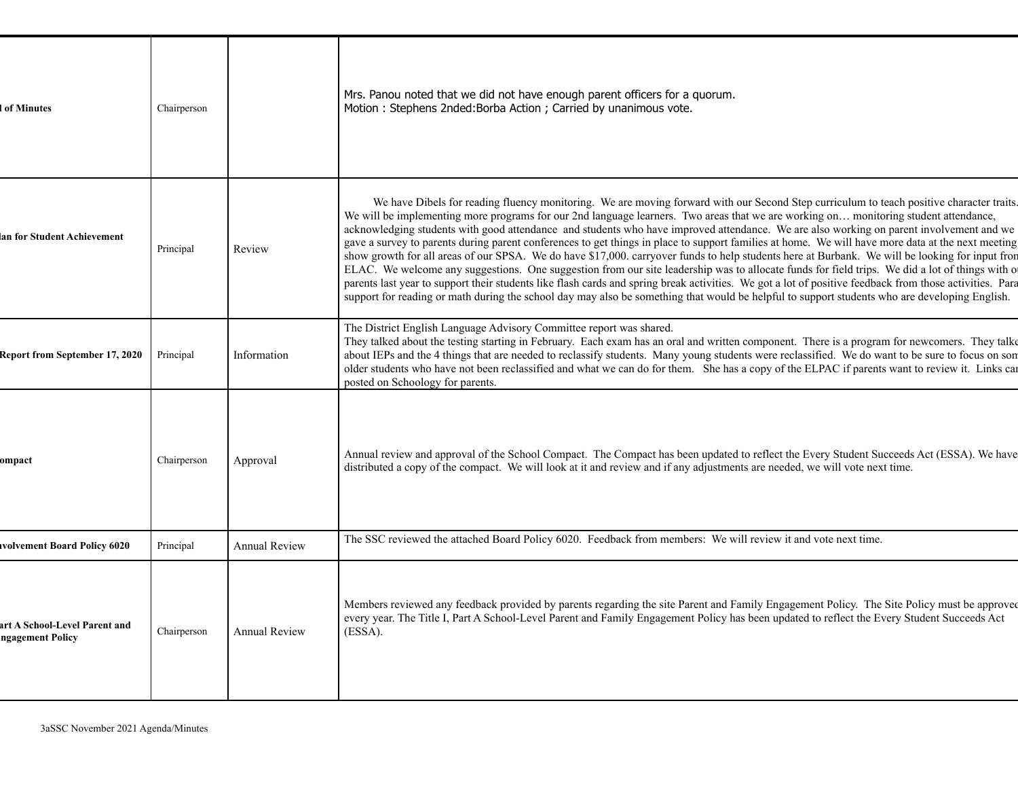| of Minutes                                        | Chairperson |                      | Mrs. Panou noted that we did not have enough parent officers for a quorum.<br>Motion: Stephens 2nded:Borba Action; Carried by unanimous vote.                                                                                                                                                                                                                                                                                                                                                                                                                                                                                                                                                                                                                                                                                                                                                                                                                                                                                                                                                                                                                                                     |
|---------------------------------------------------|-------------|----------------------|---------------------------------------------------------------------------------------------------------------------------------------------------------------------------------------------------------------------------------------------------------------------------------------------------------------------------------------------------------------------------------------------------------------------------------------------------------------------------------------------------------------------------------------------------------------------------------------------------------------------------------------------------------------------------------------------------------------------------------------------------------------------------------------------------------------------------------------------------------------------------------------------------------------------------------------------------------------------------------------------------------------------------------------------------------------------------------------------------------------------------------------------------------------------------------------------------|
| an for Student Achievement                        | Principal   | Review               | We have Dibels for reading fluency monitoring. We are moving forward with our Second Step curriculum to teach positive character traits.<br>We will be implementing more programs for our 2nd language learners. Two areas that we are working on monitoring student attendance,<br>acknowledging students with good attendance and students who have improved attendance. We are also working on parent involvement and we<br>gave a survey to parents during parent conferences to get things in place to support families at home. We will have more data at the next meeting<br>show growth for all areas of our SPSA. We do have \$17,000. carryover funds to help students here at Burbank. We will be looking for input fron<br>ELAC. We welcome any suggestions. One suggestion from our site leadership was to allocate funds for field trips. We did a lot of things with o<br>parents last year to support their students like flash cards and spring break activities. We got a lot of positive feedback from those activities. Para<br>support for reading or math during the school day may also be something that would be helpful to support students who are developing English. |
| <b>Report from September 17, 2020</b>             | Principal   | Information          | The District English Language Advisory Committee report was shared.<br>They talked about the testing starting in February. Each exam has an oral and written component. There is a program for newcomers. They talke<br>about IEPs and the 4 things that are needed to reclassify students. Many young students were reclassified. We do want to be sure to focus on son<br>older students who have not been reclassified and what we can do for them. She has a copy of the ELPAC if parents want to review it. Links can<br>posted on Schoology for parents.                                                                                                                                                                                                                                                                                                                                                                                                                                                                                                                                                                                                                                    |
| ompact                                            | Chairperson | Approval             | Annual review and approval of the School Compact. The Compact has been updated to reflect the Every Student Succeeds Act (ESSA). We have<br>distributed a copy of the compact. We will look at it and review and if any adjustments are needed, we will vote next time.                                                                                                                                                                                                                                                                                                                                                                                                                                                                                                                                                                                                                                                                                                                                                                                                                                                                                                                           |
| volvement Board Policy 6020                       | Principal   | <b>Annual Review</b> | The SSC reviewed the attached Board Policy 6020. Feedback from members: We will review it and vote next time.                                                                                                                                                                                                                                                                                                                                                                                                                                                                                                                                                                                                                                                                                                                                                                                                                                                                                                                                                                                                                                                                                     |
| art A School-Level Parent and<br>ngagement Policy | Chairperson | <b>Annual Review</b> | Members reviewed any feedback provided by parents regarding the site Parent and Family Engagement Policy. The Site Policy must be approved<br>every year. The Title I, Part A School-Level Parent and Family Engagement Policy has been updated to reflect the Every Student Succeeds Act<br>(ESSA).                                                                                                                                                                                                                                                                                                                                                                                                                                                                                                                                                                                                                                                                                                                                                                                                                                                                                              |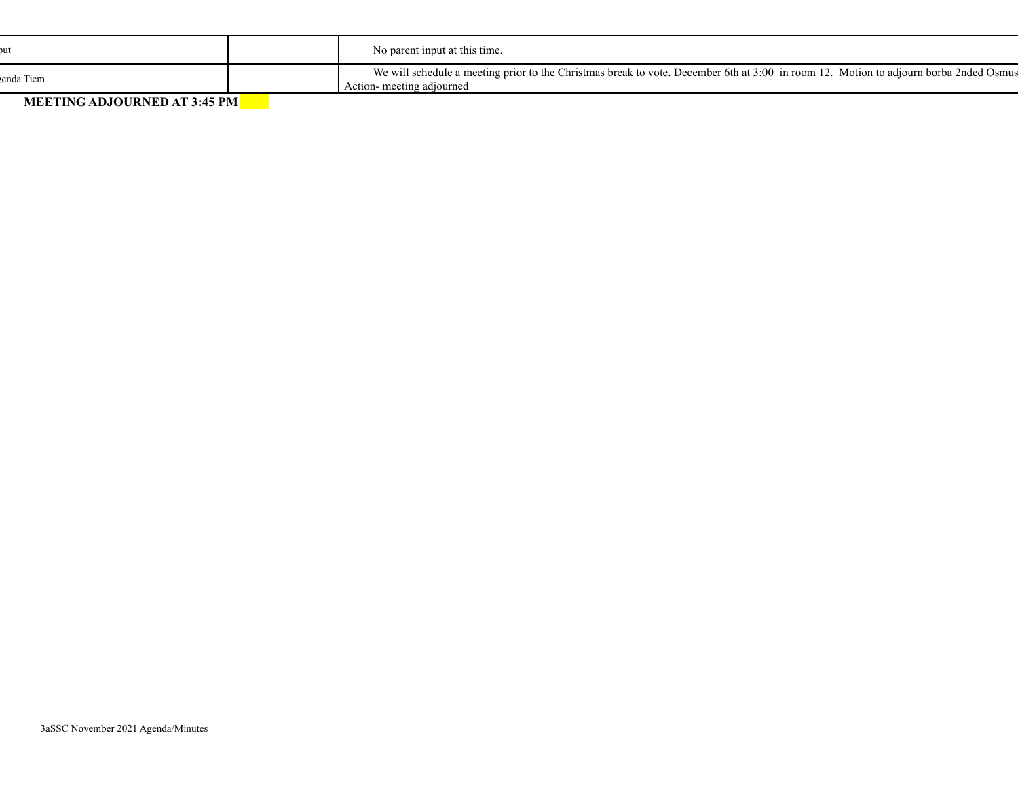|                                      |  | No parent input at this time.                                                                                                                                      |
|--------------------------------------|--|--------------------------------------------------------------------------------------------------------------------------------------------------------------------|
| renda Tiem                           |  | We will schedule a meeting prior to the Christmas break to vote. December 6th at 3:00 in room 12. Motion to adjourn borba 2nded Osmus<br>Action- meeting adjourned |
| $M$ produce intorporto in $A$ is not |  |                                                                                                                                                                    |

**MEETING ADJOURNED AT 3:45 PM**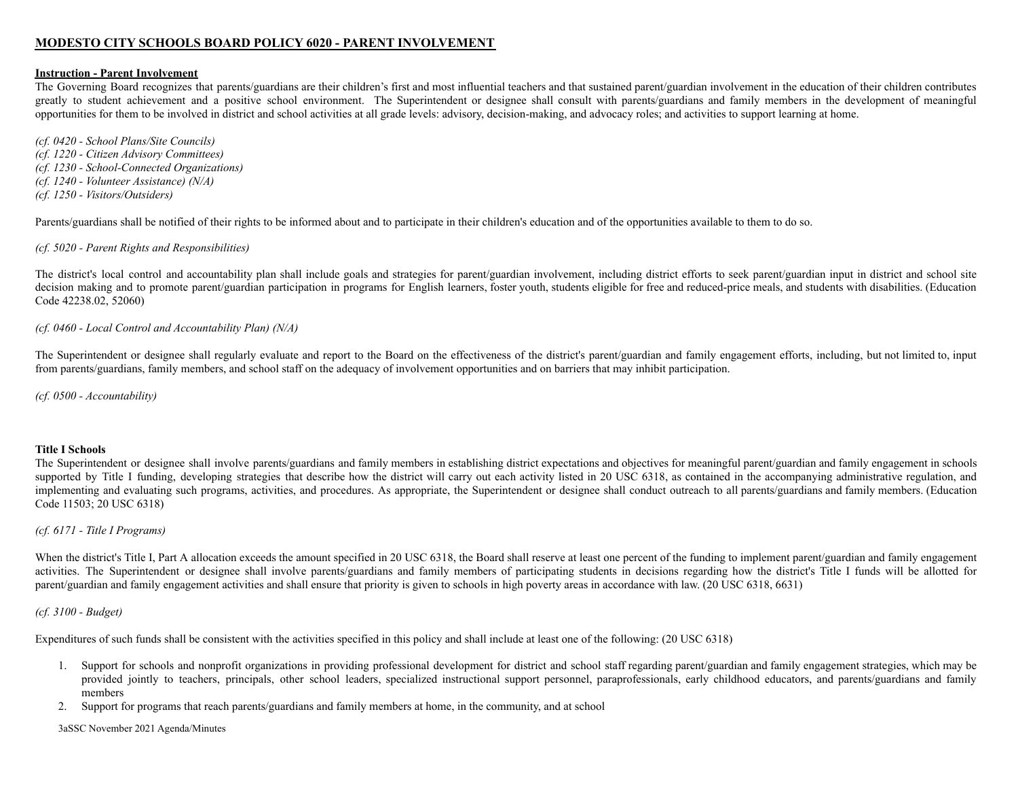#### **MODESTO CITY SCHOOLS BOARD POLICY 6020 - PARENT INVOLVEMENT**

#### **Instruction - Parent Involvement**

The Governing Board recognizes that parents/guardians are their children's first and most influential teachers and that sustained parent/guardian involvement in the education of their children contributes greatly to student achievement and a positive school environment. The Superintendent or designee shall consult with parents/guardians and family members in the development of meaningful opportunities for them to be involved in district and school activities at all grade levels: advisory, decision-making, and advocacy roles; and activities to support learning at home.

*(cf. 0420 - School Plans/Site Councils) (cf. 1220 - Citizen Advisory Committees) (cf. 1230 - School-Connected Organizations) (cf. 1240 - Volunteer Assistance) (N/A) (cf. 1250 - Visitors/Outsiders)*

Parents/guardians shall be notified of their rights to be informed about and to participate in their children's education and of the opportunities available to them to do so.

*(cf. 5020 - Parent Rights and Responsibilities)*

The district's local control and accountability plan shall include goals and strategies for parent/guardian involvement, including district efforts to seek parent/guardian input in district and school site decision making and to promote parent/guardian participation in programs for English learners, foster youth, students eligible for free and reduced-price meals, and students with disabilities. (Education Code 42238.02, 52060)

#### *(cf. 0460 - Local Control and Accountability Plan) (N/A)*

The Superintendent or designee shall regularly evaluate and report to the Board on the effectiveness of the district's parent/guardian and family engagement efforts, including, but not limited to, input from parents/guardians, family members, and school staff on the adequacy of involvement opportunities and on barriers that may inhibit participation.

*(cf. 0500 - Accountability)*

#### **Title I Schools**

The Superintendent or designee shall involve parents/guardians and family members in establishing district expectations and objectives for meaningful parent/guardian and family engagement in schools supported by Title I funding, developing strategies that describe how the district will carry out each activity listed in 20 USC 6318, as contained in the accompanying administrative regulation, and implementing and evaluating such programs, activities, and procedures. As appropriate, the Superintendent or designee shall conduct outreach to all parents/guardians and family members. (Education Code 11503; 20 USC 6318)

#### *(cf. 6171 - Title I Programs)*

When the district's Title I, Part A allocation exceeds the amount specified in 20 USC 6318, the Board shall reserve at least one percent of the funding to implement parent/guardian and family engagement activities. The Superintendent or designee shall involve parents/guardians and family members of participating students in decisions regarding how the district's Title I funds will be allotted for parent/guardian and family engagement activities and shall ensure that priority is given to schools in high poverty areas in accordance with law. (20 USC 6318, 6631)

#### *(cf. 3100 - Budget)*

Expenditures of such funds shall be consistent with the activities specified in this policy and shall include at least one of the following: (20 USC 6318)

- 1. Support for schools and nonprofit organizations in providing professional development for district and school staff regarding parent/guardian and family engagement strategies, which may be provided jointly to teachers, principals, other school leaders, specialized instructional support personnel, paraprofessionals, early childhood educators, and parents/guardians and family members
- 2. Support for programs that reach parents/guardians and family members at home, in the community, and at school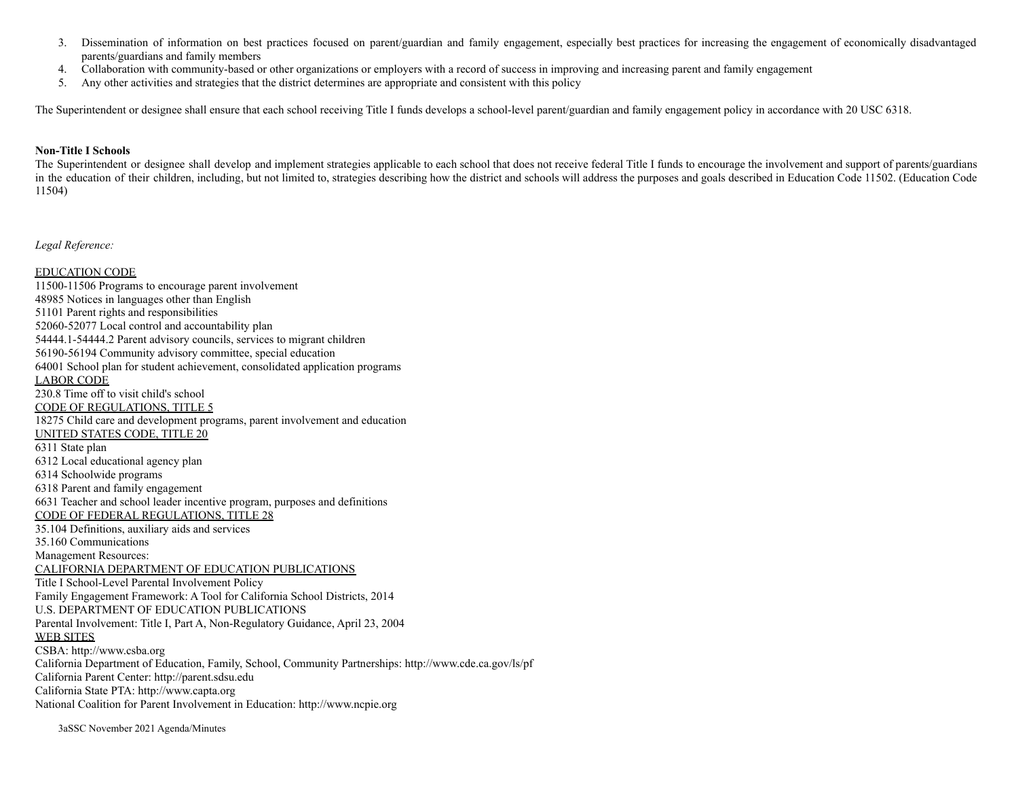- 3. Dissemination of information on best practices focused on parent/guardian and family engagement, especially best practices for increasing the engagement of economically disadvantaged parents/guardians and family members
- 4. Collaboration with community-based or other organizations or employers with a record of success in improving and increasing parent and family engagement
- 5. Any other activities and strategies that the district determines are appropriate and consistent with this policy

The Superintendent or designee shall ensure that each school receiving Title I funds develops a school-level parent/guardian and family engagement policy in accordance with 20 USC 6318.

#### **Non-Title I Schools**

The Superintendent or designee shall develop and implement strategies applicable to each school that does not receive federal Title I funds to encourage the involvement and support of parents/guardians in the education of their children, including, but not limited to, strategies describing how the district and schools will address the purposes and goals described in Education Code 11502. (Education Code 11504)

*Legal Reference:*

EDUCATION CODE 11500-11506 Programs to encourage parent involvement 48985 Notices in languages other than English 51101 Parent rights and responsibilities 52060-52077 Local control and accountability plan 54444.1-54444.2 Parent advisory councils, services to migrant children 56190-56194 Community advisory committee, special education 64001 School plan for student achievement, consolidated application programs LABOR CODE 230.8 Time off to visit child's school CODE OF REGULATIONS, TITLE 5 18275 Child care and development programs, parent involvement and education UNITED STATES CODE, TITLE 20 6311 State plan 6312 Local educational agency plan 6314 Schoolwide programs 6318 Parent and family engagement 6631 Teacher and school leader incentive program, purposes and definitions CODE OF FEDERAL REGULATIONS, TITLE 28 35.104 Definitions, auxiliary aids and services 35.160 Communications Management Resources: CALIFORNIA DEPARTMENT OF EDUCATION PUBLICATIONS Title I School-Level Parental Involvement Policy Family Engagement Framework: A Tool for California School Districts, 2014 U.S. DEPARTMENT OF EDUCATION PUBLICATIONS Parental Involvement: Title I, Part A, Non-Regulatory Guidance, April 23, 2004 WEB SITES CSBA: http://www.csba.org California Department of Education, Family, School, Community Partnerships: http://www.cde.ca.gov/ls/pf California Parent Center: http://parent.sdsu.edu California State PTA: http://www.capta.org National Coalition for Parent Involvement in Education: http://www.ncpie.org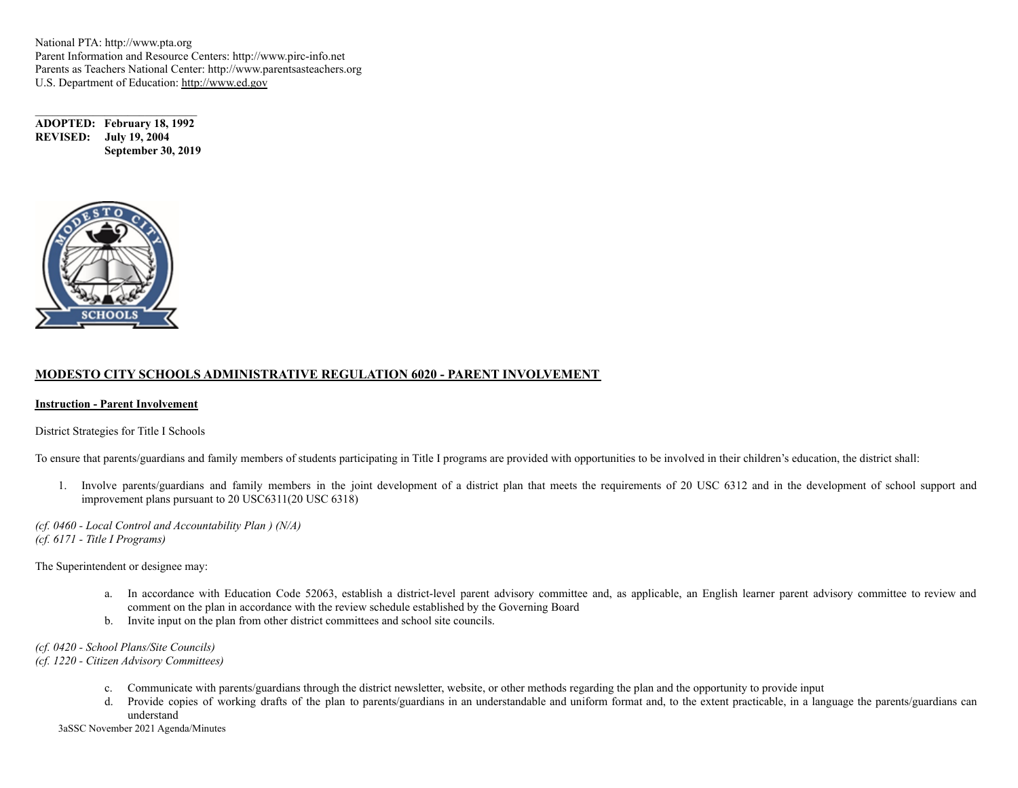National PTA: http://www.pta.org Parent Information and Resource Centers: http://www.pirc-info.net Parents as Teachers National Center: http://www.parentsasteachers.org U.S. Department of Education: http://www.ed.gov

**ADOPTED: February 18, 1992 REVISED: July 19, 2004 September 30, 2019**



#### **MODESTO CITY SCHOOLS ADMINISTRATIVE REGULATION 6020 - PARENT INVOLVEMENT**

#### **Instruction - Parent Involvement**

District Strategies for Title I Schools

To ensure that parents/guardians and family members of students participating in Title I programs are provided with opportunities to be involved in their children's education, the district shall:

1. Involve parents/guardians and family members in the joint development of a district plan that meets the requirements of 20 USC 6312 and in the development of school support and improvement plans pursuant to 20 USC6311(20 USC 6318)

*(cf. 0460 - Local Control and Accountability Plan ) (N/A) (cf. 6171 - Title I Programs)*

The Superintendent or designee may:

- a. In accordance with Education Code 52063, establish a district-level parent advisory committee and, as applicable, an English learner parent advisory committee to review and comment on the plan in accordance with the review schedule established by the Governing Board
- b. Invite input on the plan from other district committees and school site councils.

*(cf. 0420 - School Plans/Site Councils)*

*(cf. 1220 - Citizen Advisory Committees)*

- c. Communicate with parents/guardians through the district newsletter, website, or other methods regarding the plan and the opportunity to provide input
- d. Provide copies of working drafts of the plan to parents/guardians in an understandable and uniform format and, to the extent practicable, in a language the parents/guardians can understand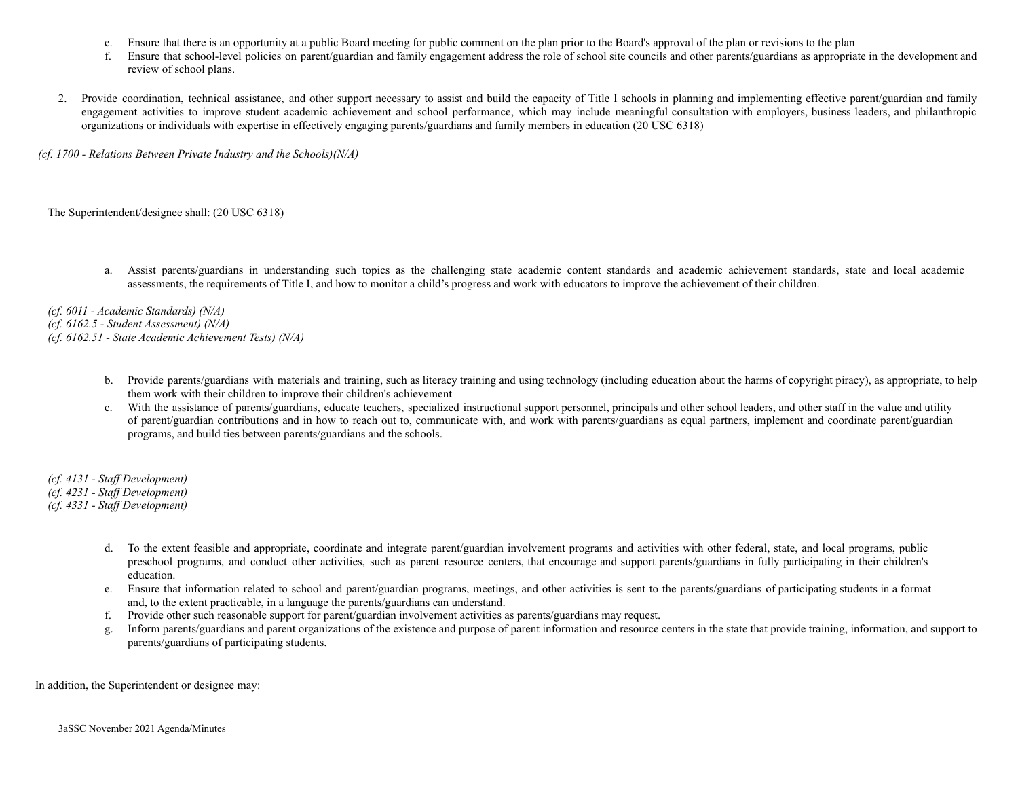- e. Ensure that there is an opportunity at a public Board meeting for public comment on the plan prior to the Board's approval of the plan or revisions to the plan
- f. Ensure that school-level policies on parent/guardian and family engagement address the role of school site councils and other parents/guardians as appropriate in the development and review of school plans.
- 2. Provide coordination, technical assistance, and other support necessary to assist and build the capacity of Title I schools in planning and implementing effective parent/guardian and family engagement activities to improve student academic achievement and school performance, which may include meaningful consultation with employers, business leaders, and philanthropic organizations or individuals with expertise in effectively engaging parents/guardians and family members in education (20 USC 6318)

*(cf. 1700 - Relations Between Private Industry and the Schools)(N/A)*

The Superintendent/designee shall: (20 USC 6318)

a. Assist parents/guardians in understanding such topics as the challenging state academic content standards and academic achievement standards, state and local academic assessments, the requirements of Title I, and how to monitor a child's progress and work with educators to improve the achievement of their children.

*(cf. 6011 - Academic Standards) (N/A) (cf. 6162.5 - Student Assessment) (N/A) (cf. 6162.51 - State Academic Achievement Tests) (N/A)*

- b. Provide parents/guardians with materials and training, such as literacy training and using technology (including education about the harms of copyright piracy), as appropriate, to help them work with their children to improve their children's achievement
- c. With the assistance of parents/guardians, educate teachers, specialized instructional support personnel, principals and other school leaders, and other staff in the value and utility of parent/guardian contributions and in how to reach out to, communicate with, and work with parents/guardians as equal partners, implement and coordinate parent/guardian programs, and build ties between parents/guardians and the schools.

*(cf. 4131 - Staff Development)*

*(cf. 4231 - Staff Development)*

*(cf. 4331 - Staff Development)*

- d. To the extent feasible and appropriate, coordinate and integrate parent/guardian involvement programs and activities with other federal, state, and local programs, public preschool programs, and conduct other activities, such as parent resource centers, that encourage and support parents/guardians in fully participating in their children's education.
- e. Ensure that information related to school and parent/guardian programs, meetings, and other activities is sent to the parents/guardians of participating students in a format and, to the extent practicable, in a language the parents/guardians can understand.
- f. Provide other such reasonable support for parent/guardian involvement activities as parents/guardians may request.
- g. Inform parents/guardians and parent organizations of the existence and purpose of parent information and resource centers in the state that provide training, information, and support to parents/guardians of participating students.

In addition, the Superintendent or designee may: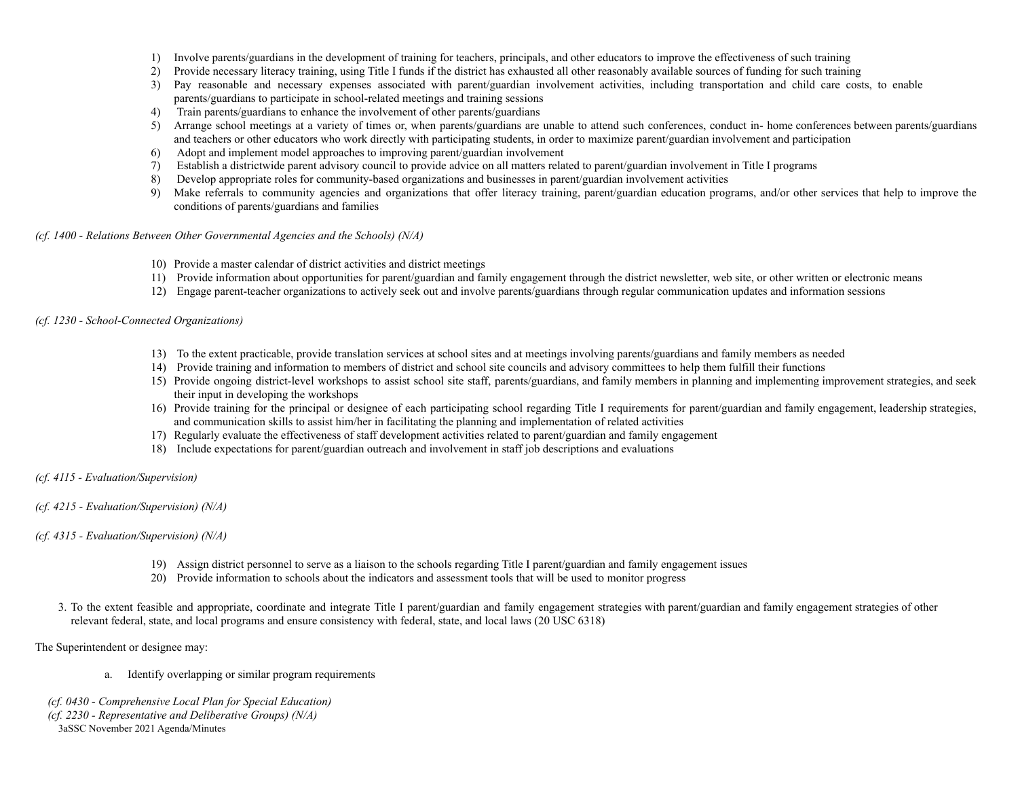- 1) Involve parents/guardians in the development of training for teachers, principals, and other educators to improve the effectiveness of such training
- 2) Provide necessary literacy training, using Title I funds if the district has exhausted all other reasonably available sources of funding for such training
- 3) Pay reasonable and necessary expenses associated with parent/guardian involvement activities, including transportation and child care costs, to enable parents/guardians to participate in school-related meetings and training sessions
- 4) Train parents/guardians to enhance the involvement of other parents/guardians
- 5) Arrange school meetings at a variety of times or, when parents/guardians are unable to attend such conferences, conduct in- home conferences between parents/guardians and teachers or other educators who work directly with participating students, in order to maximize parent/guardian involvement and participation
- 6) Adopt and implement model approaches to improving parent/guardian involvement
- 7) Establish a districtwide parent advisory council to provide advice on all matters related to parent/guardian involvement in Title I programs
- 8) Develop appropriate roles for community-based organizations and businesses in parent/guardian involvement activities
- 9) Make referrals to community agencies and organizations that offer literacy training, parent/guardian education programs, and/or other services that help to improve the conditions of parents/guardians and families

#### *(cf. 1400 - Relations Between Other Governmental Agencies and the Schools) (N/A)*

- 10) Provide a master calendar of district activities and district meetings
- 11) Provide information about opportunities for parent/guardian and family engagement through the district newsletter, web site, or other written or electronic means
- 12) Engage parent-teacher organizations to actively seek out and involve parents/guardians through regular communication updates and information sessions

#### *(cf. 1230 - School-Connected Organizations)*

- 13) To the extent practicable, provide translation services at school sites and at meetings involving parents/guardians and family members as needed
- 14) Provide training and information to members of district and school site councils and advisory committees to help them fulfill their functions
- 15) Provide ongoing district-level workshops to assist school site staff, parents/guardians, and family members in planning and implementing improvement strategies, and seek their input in developing the workshops
- 16) Provide training for the principal or designee of each participating school regarding Title I requirements for parent/guardian and family engagement, leadership strategies, and communication skills to assist him/her in facilitating the planning and implementation of related activities
- 17) Regularly evaluate the effectiveness of staff development activities related to parent/guardian and family engagement
- 18) Include expectations for parent/guardian outreach and involvement in staff job descriptions and evaluations

#### *(cf. 4115 - Evaluation/Supervision)*

*(cf. 4215 - Evaluation/Supervision) (N/A)*

#### *(cf. 4315 - Evaluation/Supervision) (N/A)*

- 19) Assign district personnel to serve as a liaison to the schools regarding Title I parent/guardian and family engagement issues
- 20) Provide information to schools about the indicators and assessment tools that will be used to monitor progress
- 3. To the extent feasible and appropriate, coordinate and integrate Title I parent/guardian and family engagement strategies with parent/guardian and family engagement strategies of other relevant federal, state, and local programs and ensure consistency with federal, state, and local laws (20 USC 6318)

#### The Superintendent or designee may:

- a. Identify overlapping or similar program requirements
- *(cf. 0430 Comprehensive Local Plan for Special Education)*
- *(cf. 2230 Representative and Deliberative Groups) (N/A)*
- 3aSSC November 2021 Agenda/Minutes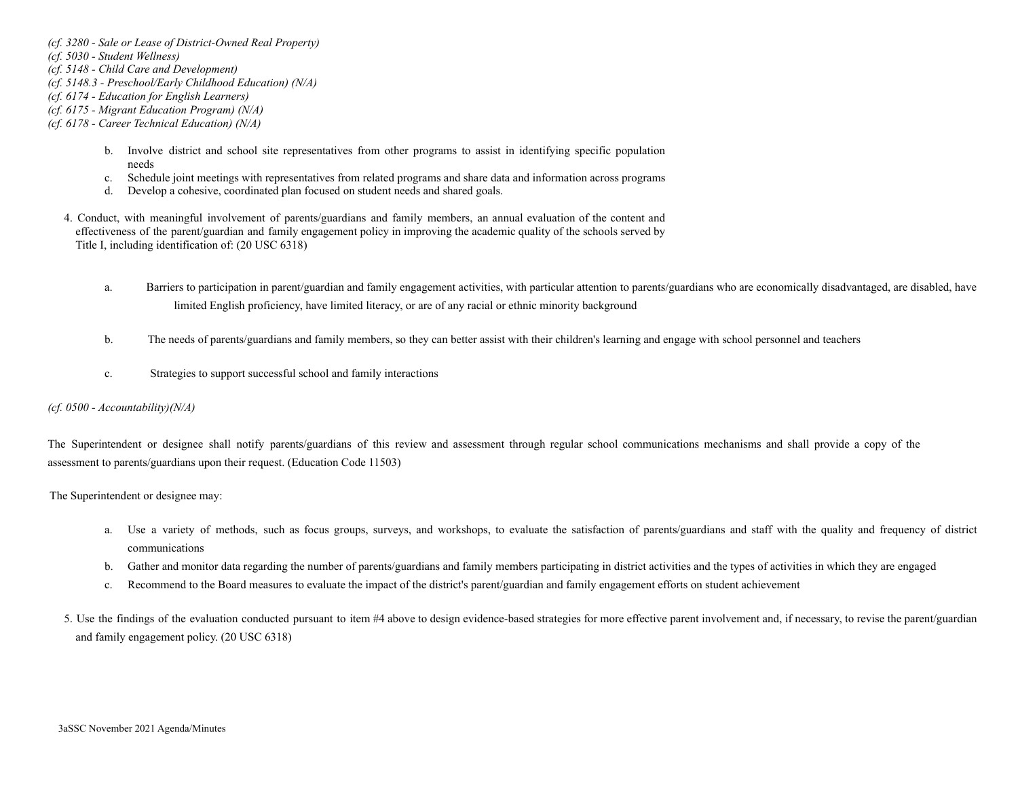*(cf. 3280 - Sale or Lease of District-Owned Real Property)*

*(cf. 5030 - Student Wellness)*

*(cf. 5148 - Child Care and Development)*

*(cf. 5148.3 - Preschool/Early Childhood Education) (N/A)*

*(cf. 6174 - Education for English Learners)*

- *(cf. 6175 Migrant Education Program) (N/A)*
- *(cf. 6178 Career Technical Education) (N/A)*
	- b. Involve district and school site representatives from other programs to assist in identifying specific population needs
	- c. Schedule joint meetings with representatives from related programs and share data and information across programs
	- d. Develop a cohesive, coordinated plan focused on student needs and shared goals.
	- 4. Conduct, with meaningful involvement of parents/guardians and family members, an annual evaluation of the content and effectiveness of the parent/guardian and family engagement policy in improving the academic quality of the schools served by Title I, including identification of: (20 USC 6318)
		- a. Barriers to participation in parent/guardian and family engagement activities, with particular attention to parents/guardians who are economically disadvantaged, are disabled, have limited English proficiency, have limited literacy, or are of any racial or ethnic minority background
		- b. The needs of parents/guardians and family members, so they can better assist with their children's learning and engage with school personnel and teachers
		- c. Strategies to support successful school and family interactions

#### *(cf. 0500 - Accountability)(N/A)*

The Superintendent or designee shall notify parents/guardians of this review and assessment through regular school communications mechanisms and shall provide a copy of the assessment to parents/guardians upon their request. (Education Code 11503)

The Superintendent or designee may:

- a. Use a variety of methods, such as focus groups, surveys, and workshops, to evaluate the satisfaction of parents/guardians and staff with the quality and frequency of district communications
- b. Gather and monitor data regarding the number of parents/guardians and family members participating in district activities and the types of activities in which they are engaged
- c. Recommend to the Board measures to evaluate the impact of the district's parent/guardian and family engagement efforts on student achievement
- 5. Use the findings of the evaluation conducted pursuant to item #4 above to design evidence-based strategies for more effective parent involvement and, if necessary, to revise the parent/guardian and family engagement policy. (20 USC 6318)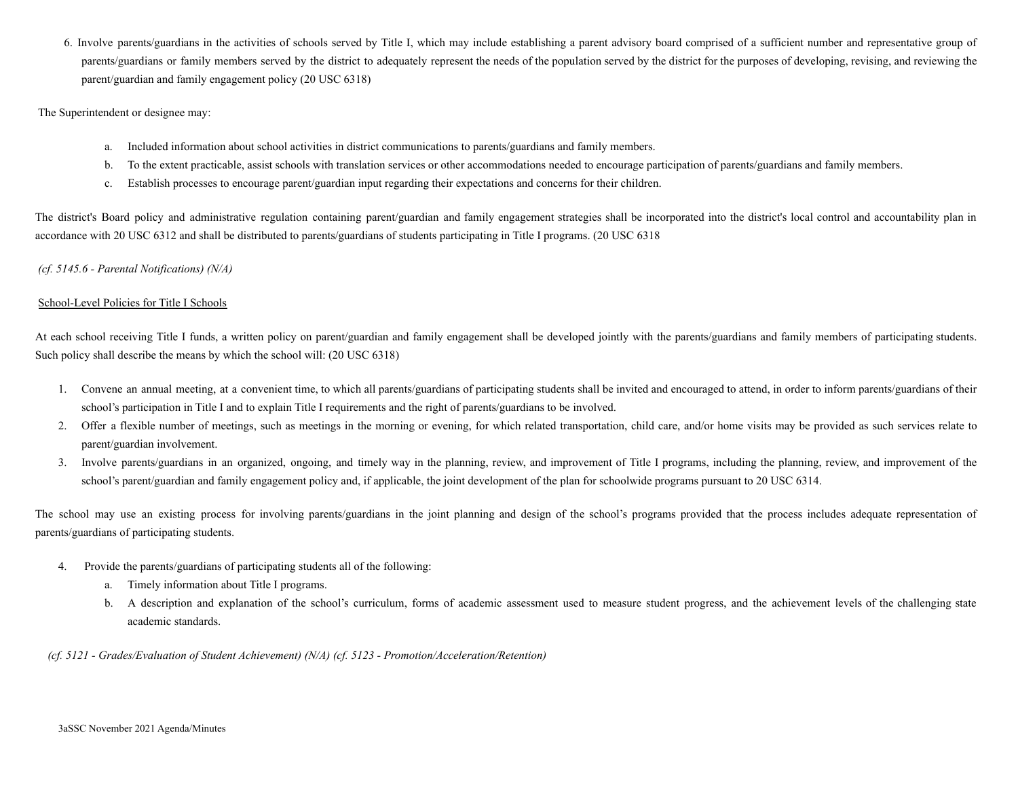6. Involve parents/guardians in the activities of schools served by Title I, which may include establishing a parent advisory board comprised of a sufficient number and representative group of parents/guardians or family members served by the district to adequately represent the needs of the population served by the district for the purposes of developing, revising, and reviewing the parent/guardian and family engagement policy (20 USC 6318)

The Superintendent or designee may:

- a. Included information about school activities in district communications to parents/guardians and family members.
- b. To the extent practicable, assist schools with translation services or other accommodations needed to encourage participation of parents/guardians and family members.
- c. Establish processes to encourage parent/guardian input regarding their expectations and concerns for their children.

The district's Board policy and administrative regulation containing parent/guardian and family engagement strategies shall be incorporated into the district's local control and accountability plan in accordance with 20 USC 6312 and shall be distributed to parents/guardians of students participating in Title I programs. (20 USC 6318

#### *(cf. 5145.6 - Parental Notifications) (N/A)*

#### School-Level Policies for Title I Schools

At each school receiving Title I funds, a written policy on parent/guardian and family engagement shall be developed jointly with the parents/guardians and family members of participating students. Such policy shall describe the means by which the school will: (20 USC 6318)

- 1. Convene an annual meeting, at a convenient time, to which all parents/guardians of participating students shall be invited and encouraged to attend, in order to inform parents/guardians of their school's participation in Title I and to explain Title I requirements and the right of parents/guardians to be involved.
- 2. Offer a flexible number of meetings, such as meetings in the morning or evening, for which related transportation, child care, and/or home visits may be provided as such services relate to parent/guardian involvement.
- 3. Involve parents/guardians in an organized, ongoing, and timely way in the planning, review, and improvement of Title I programs, including the planning, review, and improvement of the school's parent/guardian and family engagement policy and, if applicable, the joint development of the plan for schoolwide programs pursuant to 20 USC 6314.

The school may use an existing process for involving parents/guardians in the joint planning and design of the school's programs provided that the process includes adequate representation of parents/guardians of participating students.

- 4. Provide the parents/guardians of participating students all of the following:
	- a. Timely information about Title I programs.
	- b. A description and explanation of the school's curriculum, forms of academic assessment used to measure student progress, and the achievement levels of the challenging state academic standards.

*(cf. 5121 - Grades/Evaluation of Student Achievement) (N/A) (cf. 5123 - Promotion/Acceleration/Retention)*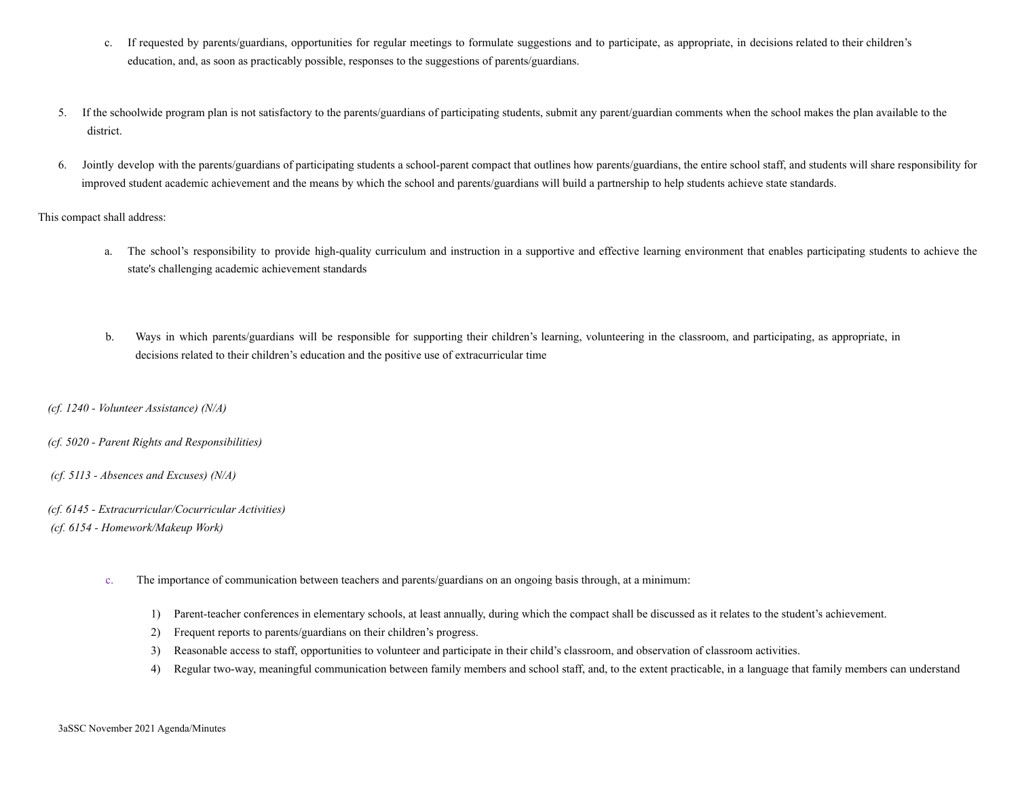- c. If requested by parents/guardians, opportunities for regular meetings to formulate suggestions and to participate, as appropriate, in decisions related to their children's education, and, as soon as practicably possible, responses to the suggestions of parents/guardians.
- 5. If the schoolwide program plan is not satisfactory to the parents/guardians of participating students, submit any parent/guardian comments when the school makes the plan available to the district.
- 6. Jointly develop with the parents/guardians of participating students a school-parent compact that outlines how parents/guardians, the entire school staff, and students will share responsibility for improved student academic achievement and the means by which the school and parents/guardians will build a partnership to help students achieve state standards.

This compact shall address:

- a. The school's responsibility to provide high-quality curriculum and instruction in a supportive and effective learning environment that enables participating students to achieve the state's challenging academic achievement standards
- b. Ways in which parents/guardians will be responsible for supporting their children's learning, volunteering in the classroom, and participating, as appropriate, in decisions related to their children's education and the positive use of extracurricular time
- *(cf. 1240 Volunteer Assistance) (N/A)*
- *(cf. 5020 Parent Rights and Responsibilities)*
- *(cf. 5113 Absences and Excuses) (N/A)*
- *(cf. 6145 Extracurricular/Cocurricular Activities) (cf. 6154 - Homework/Makeup Work)*
	- c. The importance of communication between teachers and parents/guardians on an ongoing basis through, at a minimum:
		- 1) Parent-teacher conferences in elementary schools, at least annually, during which the compact shall be discussed as it relates to the student's achievement.
		- 2) Frequent reports to parents/guardians on their children's progress.
		- 3) Reasonable access to staff, opportunities to volunteer and participate in their child's classroom, and observation of classroom activities.
		- 4) Regular two-way, meaningful communication between family members and school staff, and, to the extent practicable, in a language that family members can understand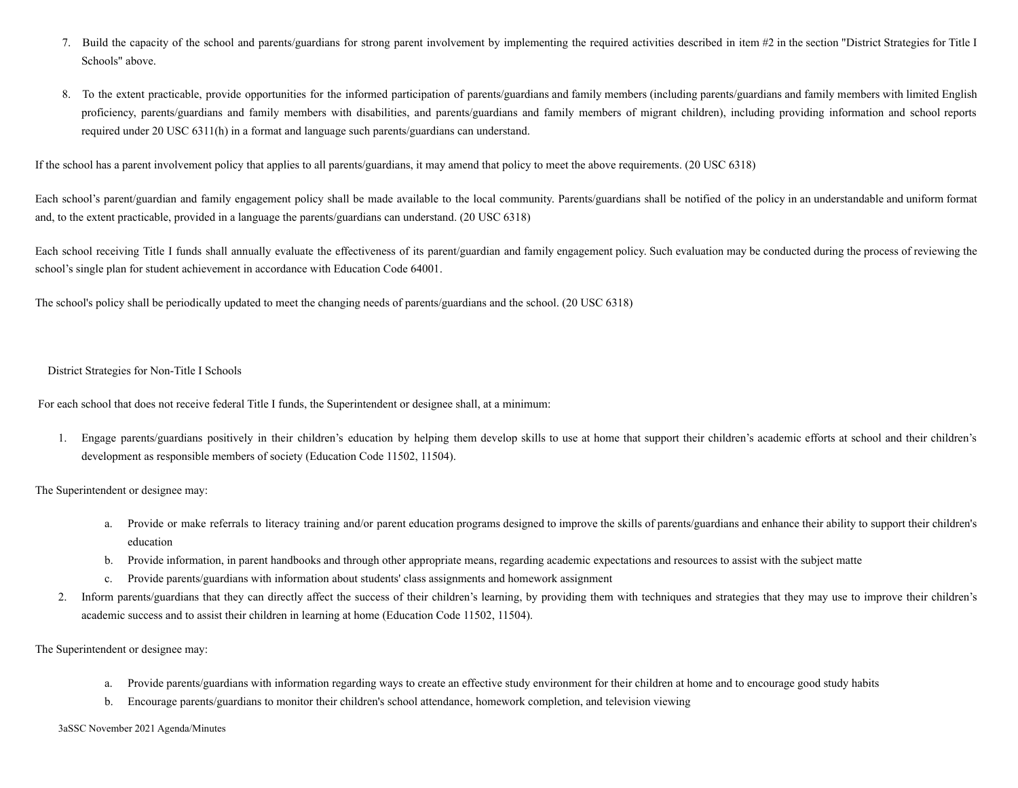- 7. Build the capacity of the school and parents/guardians for strong parent involvement by implementing the required activities described in item #2 in the section "District Strategies for Title I Schools" above.
- 8. To the extent practicable, provide opportunities for the informed participation of parents/guardians and family members (including parents/guardians and family members with limited English proficiency, parents/guardians and family members with disabilities, and parents/guardians and family members of migrant children), including providing information and school reports required under 20 USC 6311(h) in a format and language such parents/guardians can understand.

If the school has a parent involvement policy that applies to all parents/guardians, it may amend that policy to meet the above requirements. (20 USC 6318)

Each school's parent/guardian and family engagement policy shall be made available to the local community. Parents/guardians shall be notified of the policy in an understandable and uniform format and, to the extent practicable, provided in a language the parents/guardians can understand. (20 USC 6318)

Each school receiving Title I funds shall annually evaluate the effectiveness of its parent/guardian and family engagement policy. Such evaluation may be conducted during the process of reviewing the school's single plan for student achievement in accordance with Education Code 64001.

The school's policy shall be periodically updated to meet the changing needs of parents/guardians and the school. (20 USC 6318)

District Strategies for Non-Title I Schools

For each school that does not receive federal Title I funds, the Superintendent or designee shall, at a minimum:

1. Engage parents/guardians positively in their children's education by helping them develop skills to use at home that support their children's academic efforts at school and their children's development as responsible members of society (Education Code 11502, 11504).

The Superintendent or designee may:

- a. Provide or make referrals to literacy training and/or parent education programs designed to improve the skills of parents/guardians and enhance their ability to support their children's education
- b. Provide information, in parent handbooks and through other appropriate means, regarding academic expectations and resources to assist with the subject matte
- c. Provide parents/guardians with information about students' class assignments and homework assignment
- 2. Inform parents/guardians that they can directly affect the success of their children's learning, by providing them with techniques and strategies that they may use to improve their children's academic success and to assist their children in learning at home (Education Code 11502, 11504).

The Superintendent or designee may:

- a. Provide parents/guardians with information regarding ways to create an effective study environment for their children at home and to encourage good study habits
- b. Encourage parents/guardians to monitor their children's school attendance, homework completion, and television viewing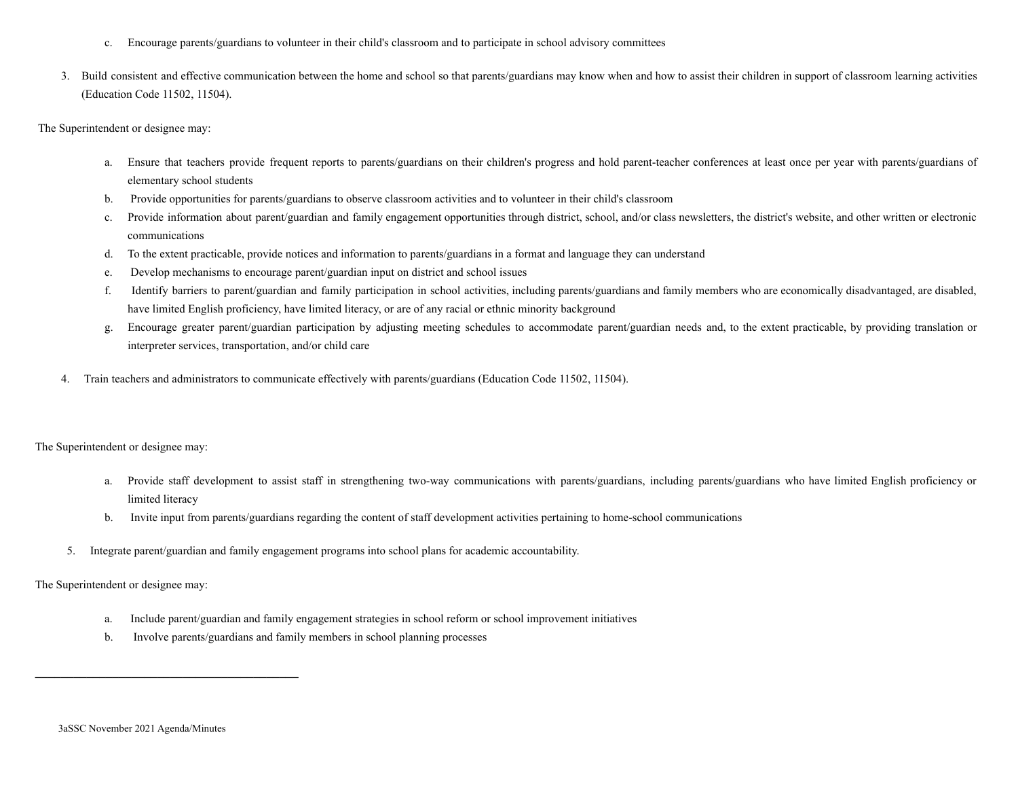- c. Encourage parents/guardians to volunteer in their child's classroom and to participate in school advisory committees
- 3. Build consistent and effective communication between the home and school so that parents/guardians may know when and how to assist their children in support of classroom learning activities (Education Code 11502, 11504).

The Superintendent or designee may:

- a. Ensure that teachers provide frequent reports to parents/guardians on their children's progress and hold parent-teacher conferences at least once per year with parents/guardians of elementary school students
- b. Provide opportunities for parents/guardians to observe classroom activities and to volunteer in their child's classroom
- c. Provide information about parent/guardian and family engagement opportunities through district, school, and/or class newsletters, the district's website, and other written or electronic communications
- d. To the extent practicable, provide notices and information to parents/guardians in a format and language they can understand
- e. Develop mechanisms to encourage parent/guardian input on district and school issues
- f. Identify barriers to parent/guardian and family participation in school activities, including parents/guardians and family members who are economically disadvantaged, are disabled, have limited English proficiency, have limited literacy, or are of any racial or ethnic minority background
- g. Encourage greater parent/guardian participation by adjusting meeting schedules to accommodate parent/guardian needs and, to the extent practicable, by providing translation or interpreter services, transportation, and/or child care
- 4. Train teachers and administrators to communicate effectively with parents/guardians (Education Code 11502, 11504).

The Superintendent or designee may:

- a. Provide staff development to assist staff in strengthening two-way communications with parents/guardians, including parents/guardians who have limited English proficiency or limited literacy
- b. Invite input from parents/guardians regarding the content of staff development activities pertaining to home-school communications
- 5. Integrate parent/guardian and family engagement programs into school plans for academic accountability.

The Superintendent or designee may:

- a. Include parent/guardian and family engagement strategies in school reform or school improvement initiatives
- b. Involve parents/guardians and family members in school planning processes

 $\mathcal{L} = \{ \mathcal{L} \}$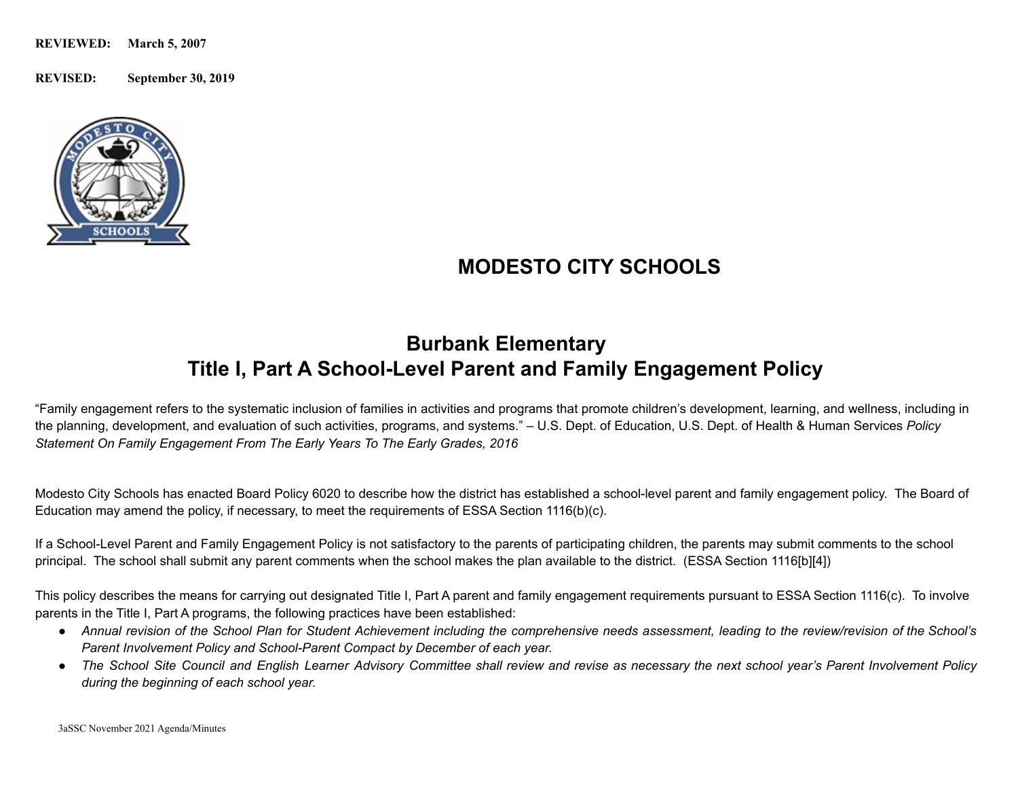**REVISED: September 30, 2019**



## **MODESTO CITY SCHOOLS**

## **Burbank Elementary Title I, Part A School-Level Parent and Family Engagement Policy**

"Family engagement refers to the systematic inclusion of families in activities and programs that promote children's development, learning, and wellness, including in the planning, development, and evaluation of such activities, programs, and systems." – U.S. Dept. of Education, U.S. Dept. of Health & Human Services *Policy Statement On Family Engagement From The Early Years To The Early Grades, 2016*

Modesto City Schools has enacted Board Policy 6020 to describe how the district has established a school-level parent and family engagement policy. The Board of Education may amend the policy, if necessary, to meet the requirements of ESSA Section 1116(b)(c).

If a School-Level Parent and Family Engagement Policy is not satisfactory to the parents of participating children, the parents may submit comments to the school principal. The school shall submit any parent comments when the school makes the plan available to the district. (ESSA Section 1116[b][4])

This policy describes the means for carrying out designated Title I, Part A parent and family engagement requirements pursuant to ESSA Section 1116(c). To involve parents in the Title I, Part A programs, the following practices have been established:

- Annual revision of the School Plan for Student Achievement including the comprehensive needs assessment, leading to the review/revision of the School's *Parent Involvement Policy and School-Parent Compact by December of each year.*
- The School Site Council and English Learner Advisory Committee shall review and revise as necessary the next school year's Parent Involvement Policy *during the beginning of each school year.*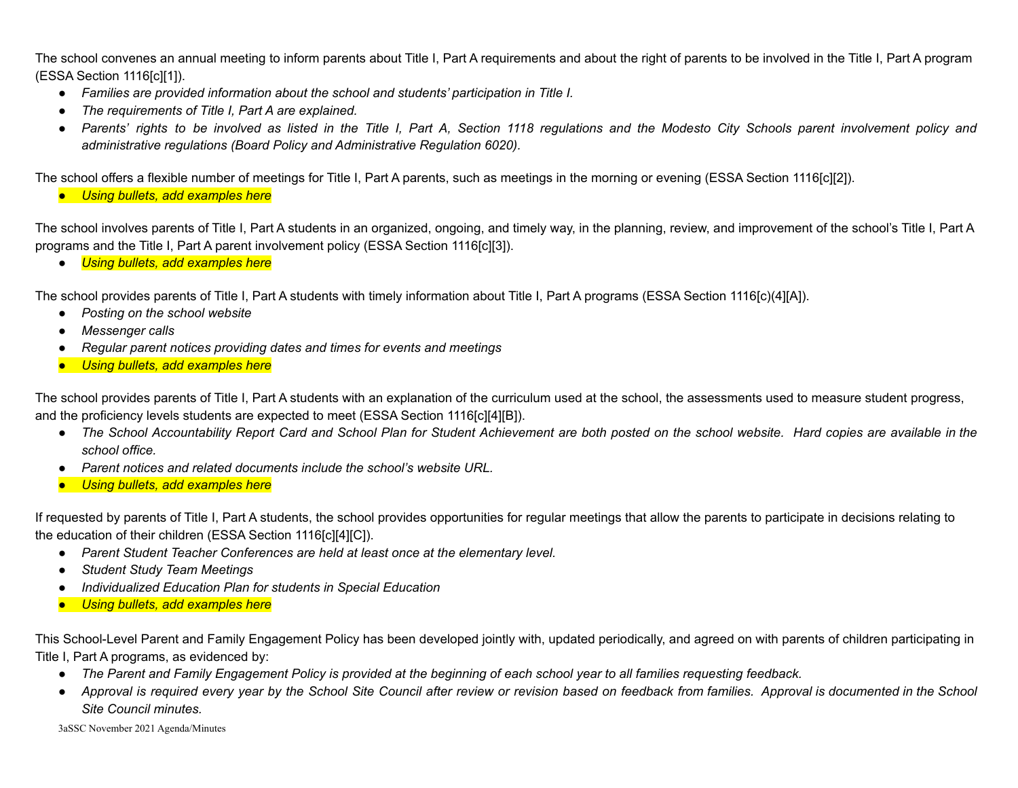The school convenes an annual meeting to inform parents about Title I, Part A requirements and about the right of parents to be involved in the Title I, Part A program (ESSA Section 1116[c][1]).

- *Families are provided information about the school and students' participation in Title I.*
- *● The requirements of Title I, Part A are explained.*
- Parents' rights to be involved as listed in the Title I. Part A. Section 1118 regulations and the Modesto City Schools parent involvement policy and *administrative regulations (Board Policy and Administrative Regulation 6020).*

The school offers a flexible number of meetings for Title I, Part A parents, such as meetings in the morning or evening (ESSA Section 1116[c][2]).

● *Using bullets, add examples here*

The school involves parents of Title I, Part A students in an organized, ongoing, and timely way, in the planning, review, and improvement of the school's Title I, Part A programs and the Title I, Part A parent involvement policy (ESSA Section 1116[c][3]).

● *Using bullets, add examples here*

The school provides parents of Title I, Part A students with timely information about Title I, Part A programs (ESSA Section 1116[c)(4][A]).

- *Posting on the school website*
- *● Messenger calls*
- *● Regular parent notices providing dates and times for events and meetings*
- *Using bullets, add examples here*

The school provides parents of Title I, Part A students with an explanation of the curriculum used at the school, the assessments used to measure student progress, and the proficiency levels students are expected to meet (ESSA Section 1116[c][4][B]).

- The School Accountability Report Card and School Plan for Student Achievement are both posted on the school website. Hard copies are available in the *school office.*
- *Parent notices and related documents include the school's website URL.*
- *Using bullets, add examples here*

If requested by parents of Title I, Part A students, the school provides opportunities for regular meetings that allow the parents to participate in decisions relating to the education of their children (ESSA Section 1116[c][4][C]).

- *Parent Student Teacher Conferences are held at least once at the elementary level.*
- *● Student Study Team Meetings*
- *● Individualized Education Plan for students in Special Education*
- *Using bullets, add examples here*

This School-Level Parent and Family Engagement Policy has been developed jointly with, updated periodically, and agreed on with parents of children participating in Title I, Part A programs, as evidenced by:

- The Parent and Family Engagement Policy is provided at the beginning of each school year to all families requesting feedback.
- Approval is required every year by the School Site Council after review or revision based on feedback from families. Approval is documented in the School *Site Council minutes.*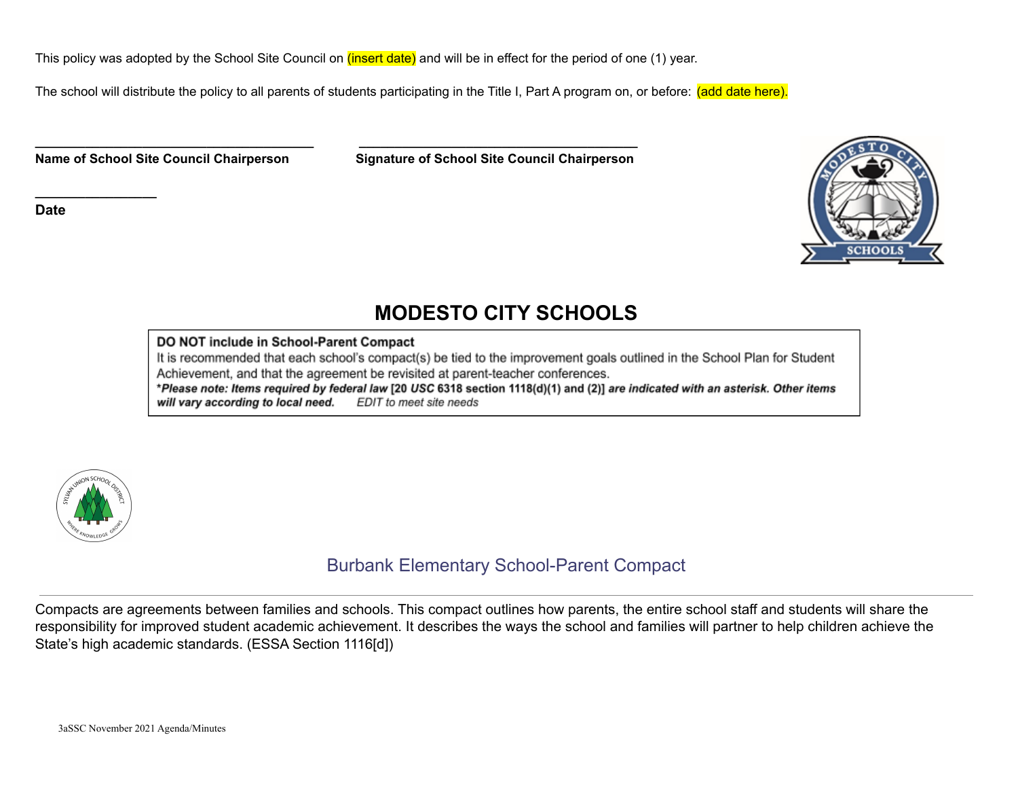This policy was adopted by the School Site Council on (insert date) and will be in effect for the period of one (1) year.

**\_\_\_\_\_\_\_\_\_\_\_\_\_\_\_\_\_\_\_\_\_\_\_\_\_\_\_\_\_\_\_\_\_\_\_\_\_\_\_ \_\_\_\_\_\_\_\_\_\_\_\_\_\_\_\_\_\_\_\_\_\_\_\_\_\_\_\_\_\_\_\_\_\_\_\_\_\_\_**

The school will distribute the policy to all parents of students participating in the Title I, Part A program on, or before: (add date here).

**Name of School Site Council Chairperson Signature of School Site Council Chairperson**

**Date**

**\_\_\_\_\_\_\_\_\_\_\_\_\_\_\_\_\_**



## **MODESTO CITY SCHOOLS**

#### DO NOT include in School-Parent Compact

It is recommended that each school's compact(s) be tied to the improvement goals outlined in the School Plan for Student Achievement, and that the agreement be revisited at parent-teacher conferences.

\*Please note: Items required by federal law [20 USC 6318 section 1118(d)(1) and (2)] are indicated with an asterisk. Other items will vary according to local need. EDIT to meet site needs



## Burbank Elementary School-Parent Compact

Compacts are agreements between families and schools. This compact outlines how parents, the entire school staff and students will share the responsibility for improved student academic achievement. It describes the ways the school and families will partner to help children achieve the State's high academic standards. (ESSA Section 1116[d])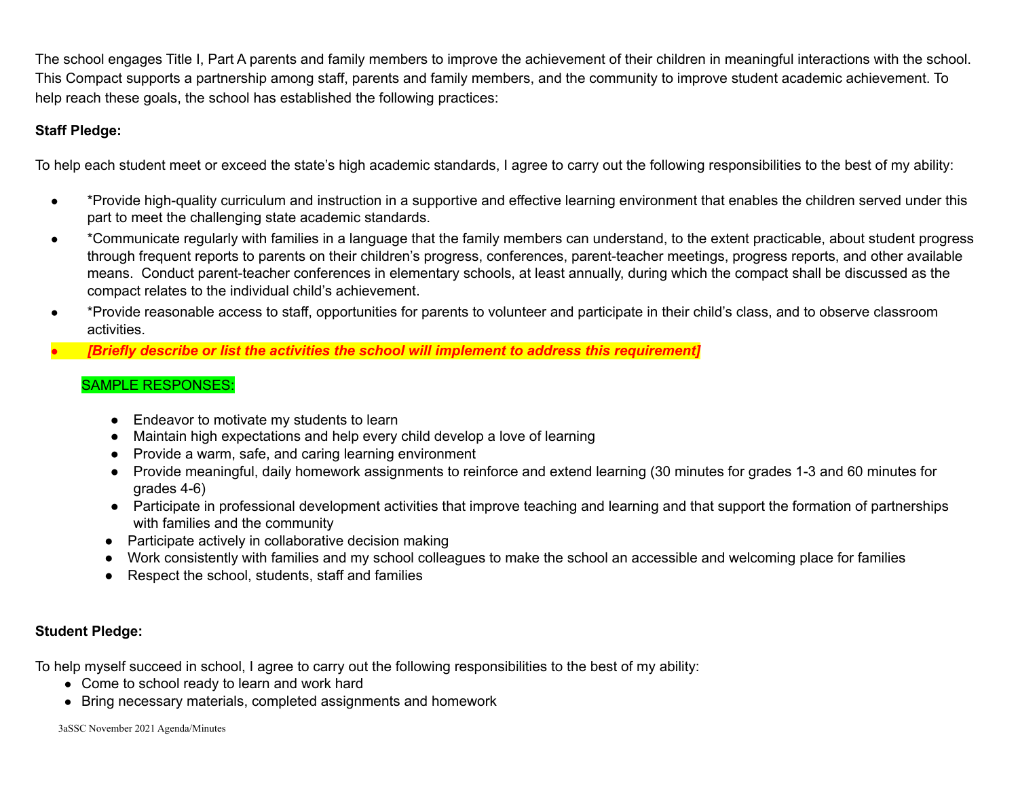The school engages Title I, Part A parents and family members to improve the achievement of their children in meaningful interactions with the school. This Compact supports a partnership among staff, parents and family members, and the community to improve student academic achievement. To help reach these goals, the school has established the following practices:

### **Staff Pledge:**

To help each student meet or exceed the state's high academic standards, I agree to carry out the following responsibilities to the best of my ability:

- \*Provide high-quality curriculum and instruction in a supportive and effective learning environment that enables the children served under this part to meet the challenging state academic standards.
- \*Communicate regularly with families in a language that the family members can understand, to the extent practicable, about student progress through frequent reports to parents on their children's progress, conferences, parent-teacher meetings, progress reports, and other available means. Conduct parent-teacher conferences in elementary schools, at least annually, during which the compact shall be discussed as the compact relates to the individual child's achievement.
- \*Provide reasonable access to staff, opportunities for parents to volunteer and participate in their child's class, and to observe classroom activities.
- *● [Briefly describe or list the activities the school will implement to address this requirement]*

## SAMPLE RESPONSES:

- Endeavor to motivate my students to learn
- Maintain high expectations and help every child develop a love of learning
- Provide a warm, safe, and caring learning environment
- Provide meaningful, daily homework assignments to reinforce and extend learning (30 minutes for grades 1-3 and 60 minutes for grades 4-6)
- Participate in professional development activities that improve teaching and learning and that support the formation of partnerships with families and the community
- Participate actively in collaborative decision making
- Work consistently with families and my school colleagues to make the school an accessible and welcoming place for families
- Respect the school, students, staff and families

### **Student Pledge:**

To help myself succeed in school, I agree to carry out the following responsibilities to the best of my ability:

- Come to school ready to learn and work hard
- Bring necessary materials, completed assignments and homework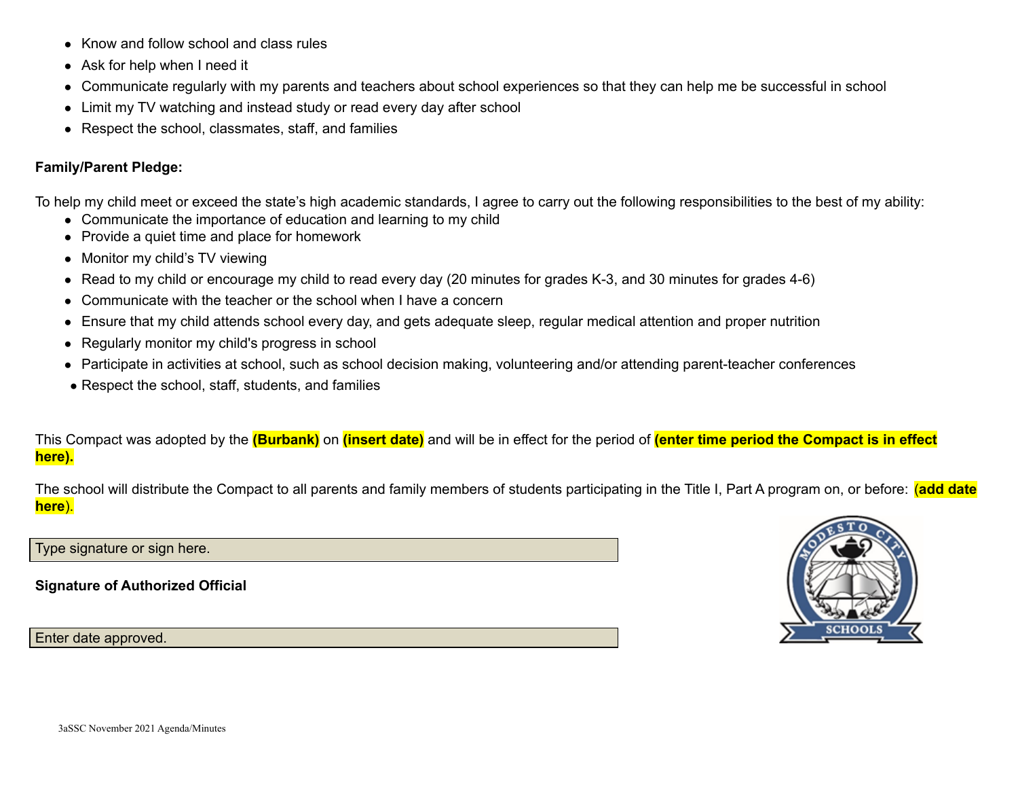- Know and follow school and class rules
- Ask for help when I need it
- Communicate regularly with my parents and teachers about school experiences so that they can help me be successful in school
- Limit my TV watching and instead study or read every day after school
- Respect the school, classmates, staff, and families

### **Family/Parent Pledge:**

To help my child meet or exceed the state's high academic standards, I agree to carry out the following responsibilities to the best of my ability:

- Communicate the importance of education and learning to my child
- Provide a quiet time and place for homework
- Monitor my child's TV viewing
- Read to my child or encourage my child to read every day (20 minutes for grades K-3, and 30 minutes for grades 4-6)
- Communicate with the teacher or the school when I have a concern
- Ensure that my child attends school every day, and gets adequate sleep, regular medical attention and proper nutrition
- Regularly monitor my child's progress in school
- Participate in activities at school, such as school decision making, volunteering and/or attending parent-teacher conferences
- Respect the school, staff, students, and families

This Compact was adopted by the **(Burbank)** on **(insert date)** and will be in effect for the period of **(enter time period the Compact is in effect here).**

The school will distribute the Compact to all parents and family members of students participating in the Title I, Part A program on, or before: (**add date here**).

Type signature or sign here.

**Signature of Authorized Official**

Enter date approved.